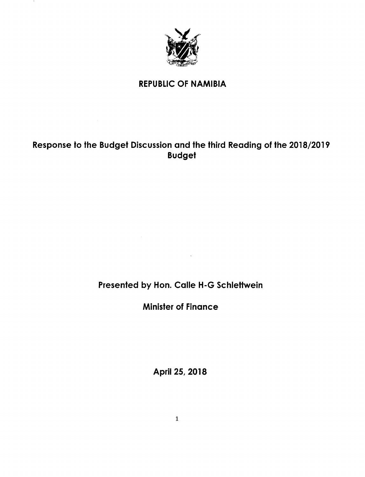

 $\mathbf{r}$ 

### REPUBLIC OF NAMIBIA

# Response to the Budget Discussion and the third Reading of the 2018/2019 Budget

# Presented by Hon. Calle H-G Schlettwein

 $\sim$   $\chi$ 

Minister of Finance

April 25, 2018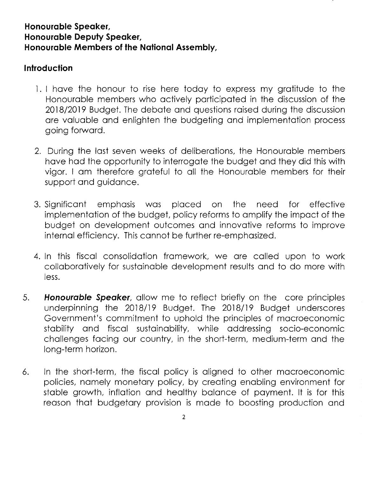## **Honourable Speaker, Honourable Deputy Speaker, Honourable Members of the National Assembly,**

## **Introduction**

- 1. I have the honour to rise here today to express my gratitude to the Honourable members who actively participated in the discussion of the 2018/2019 Budget. The debate and questions raised during the discussion are valuable and enlighten the budgeting and implementation process going forward.
- 2. During the last seven weeks of deliberations, the Honourable members have had the opportunity to interrogate the budget and they did this with vigor. I am therefore grateful to all the Honourable members for their support and guidance.
- 3. Significant emphasis was placed on the need for effective implementation of the budget, policy reforms to amplify the impact of the budget on development outcomes and innovative reforms to improve internal efficiency. This cannot be further re-emphasized.
- 4. In this fiscal consolidation framework, we are called upon to work collaboratively for sustainable development resultsand to do more with less.
- *5. Honourable Speaker,* allow me to reflect briefly on the core principles underpinning the 2018/19 Budget. The 2018/19 Budget underscores Government's commitment to uphold the principles of macroeconomic stability and fiscal sustainability, while addressing socio-economic challenges facing our country, in the short-term, medium-term and the long-term horizon.
- 6. In the short-term, the fiscal policy is aligned to other macroeconomic policies, namely monetary policy, by creating enabling environment for stable growth, inflation and healthy balance of payment. It is for this reason that budgetary provision is made to boosting production and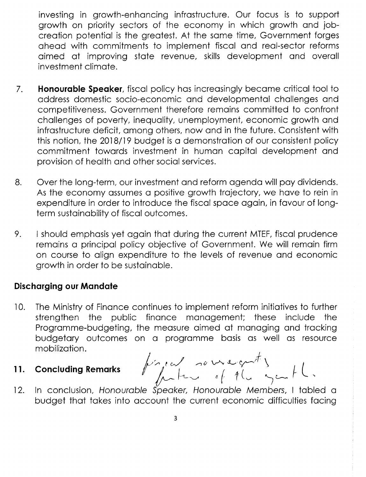investing in growth-enhancing infrastructure. Our focus is to support growth on priority sectors of the economy in which growth and jobcreation potential is the greatest. At the same time, Government forges ahead with commitments to implement fiscal and real-sector reforms aimed at improving state revenue, skills development and overall investment climate.

- 7. **Honourable Speaker,** fiscal policy has increasingly became critical tool to address domestic socio-economic and developmental challenges and competitiveness. Government therefore remains committed to confront challenges of poverty, inequality, unemployment, economic growth and infrastructure deficit, among others, now and in the future. Consistent with this notion, the 2018/19 budget is a demonstration of our consistent policy commitment towards investment in human capital development and provision of health and other social services.
- 8. Over the long-term, our investment and reform agenda will pay dividends. As the economy assumes a positive growth trajectory, we have to rein in expenditure in order to introduce the fiscal space again, in favour of longterm sustainability of fiscal outcomes.
- 9. I should emphasis yet again that during the current MTEF, fiscal prudence remains a principal policy objective of Government. We will remain firm on course to align expenditure to the levels of revenue and economic growth in order to be sustainable.

# **Discharging our Mandate**

- 10. The Ministry of Finance continues to implement reform initiatives to further strengthen the public finance management; these include the Programme-budgeting, the measure aimed at managing and tracking budgetary outcomes on a programme basis as well as resource mobilization.
- 

*I* a programme basis as well as respectively as  $\int_{\mathbb{R}} f(x) \, dx \sim \int_{\mathbb{R}} f(x) \, dx$  $\begin{array}{ccc} \n\begin{array}{ccc}\n11. & \text{Concluding Remarks} \\
\hline\n\end{array}\n\end{array}\n\end{array}\n\qquad\n\begin{array}{ccc}\n\begin{array}{ccc}\n\begin{array}{ccc}\n\end{array} & \n\end{array}\n\qquad\n\begin{array}{ccc}\n\begin{array}{ccc}\n\end{array} & \n\end{array}\n\qquad\n\begin{array}{ccc}\n\begin{array}{ccc}\n\end{array} & \n\end{array}\n\qquad\n\begin{array}{ccc}\n\end{array}\n\qquad\n\begin{array}{ccc}\n\end{array}\n\qquad\n\begin{array}{ccc}\n\end{$ 

12. In conclusion, *Honourable Speaker, Honourable Members,* I tabled a budget that takes into account the current economic difficulties facing